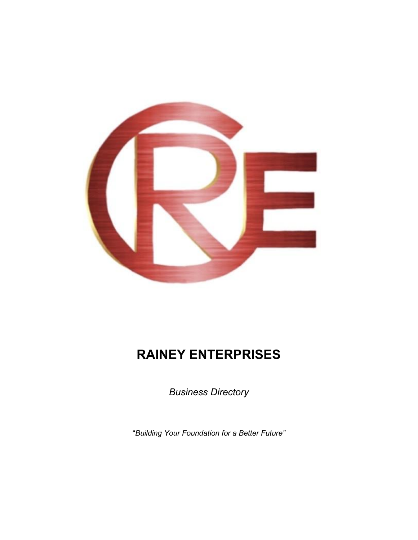

# **RAINEY ENTERPRISES**

*Business Directory*

"*Building Your Foundation for a Better Future"*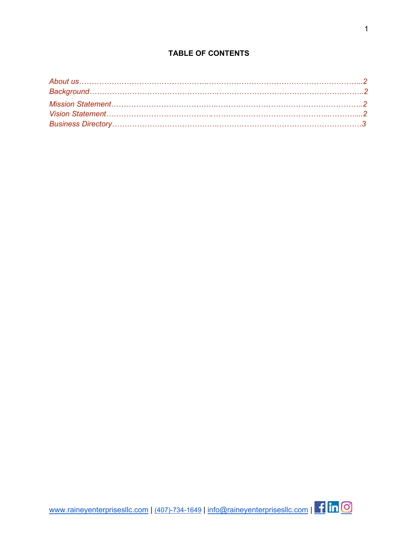## **TABLE OF CONTENTS**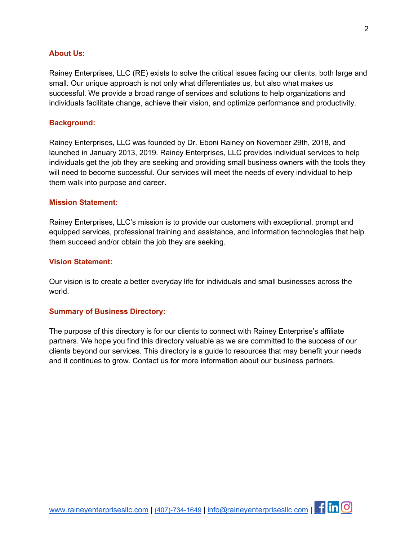#### **About Us:**

Rainey Enterprises, LLC (RE) exists to solve the critical issues facing our clients, both large and small. Our unique approach is not only what differentiates us, but also what makes us successful. We provide a broad range of services and solutions to help organizations and individuals facilitate change, achieve their vision, and optimize performance and productivity.

#### **Background:**

Rainey Enterprises, LLC was founded by Dr. Eboni Rainey on November 29th, 2018, and launched in January 2013, 2019. Rainey Enterprises, LLC provides individual services to help individuals get the job they are seeking and providing small business owners with the tools they will need to become successful. Our services will meet the needs of every individual to help them walk into purpose and career.

### **Mission Statement:**

Rainey Enterprises, LLC's mission is to provide our customers with exceptional, prompt and equipped services, professional training and assistance, and information technologies that help them succeed and/or obtain the job they are seeking.

#### **Vision Statement:**

Our vision is to create a better everyday life for individuals and small businesses across the world.

#### **Summary of Business Directory:**

The purpose of this directory is for our clients to connect with Rainey Enterprise's affiliate partners. We hope you find this directory valuable as we are committed to the success of our clients beyond our services. This directory is a guide to resources that may benefit your needs and it continues to grow. Contact us for more information about our business partners.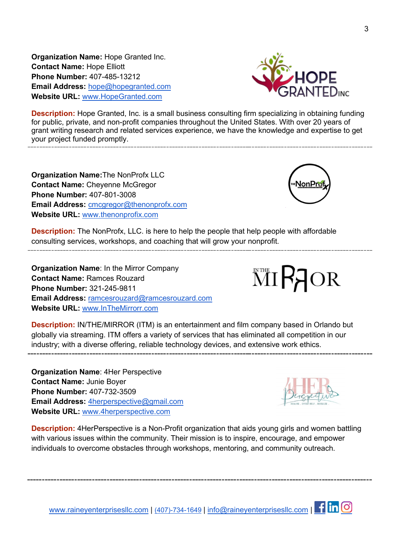**Organization Name:** Hope Granted Inc. **Contact Name:** Hope Elliott **Phone Number:** 407-485-13212 **Email Address:** [hope@hopegranted.com](mailto:hope@hopegranted.com) **Website URL:** [www.HopeGranted.com](http://www.hopegranted.com/)



**Description:** Hope Granted, Inc. is a small business consulting firm specializing in obtaining funding for public, private, and non-profit companies throughout the United States. With over 20 years of grant writing research and related services experience, we have the knowledge and expertise to get your project funded promptly.

**Organization Name:**The NonProfx LLC **Contact Name:** Cheyenne McGregor **Phone Number:** 407-801-3008 **Email Address:** [cmcgregor@thenonprofx.com](mailto:cmcgregor@thenonprofx.com) **Website URL:** [www.thenonprofix.com](http://www.thenonprofix.com/)



**Description:** The NonProfx, LLC. is here to help the people that help people with affordable consulting services, workshops, and coaching that will grow your nonprofit.

**Organization Name**: In the Mirror Company **Contact Name:** Ramces Rouzard **Phone Number:** 321-245-9811 **Email Address:** [ramcesrouzard@ramcesrouzard.com](mailto:ramcesrouzard@ramcesrouzard.com) **Website URL:** [www.InTheMirrorr.com](http://www.inthemirrorr.com/)

**MIRAOR** 

**Description:** IN/THE/MIRROR (ITM) is an entertainment and film company based in Orlando but globally via streaming. ITM offers a variety of services that has eliminated all competition in our industry; with a diverse offering, reliable technology devices, and extensive work ethics.

**Organization Name**: 4Her Perspective **Contact Name:** Junie Boyer **Phone Number:** 407-732-3509 **Email Address:** [4herperspective@gmail.com](mailto:4herperspective@gmail.com) **Website URL:** [www.4herperspective.com](http://www.4herspective.com/) 



**Description:** 4HerPerspective is a Non-Profit organization that aids young girls and women battling with various issues within the community. Their mission is to inspire, encourage, and empower individuals to overcome obstacles through workshops, mentoring, and community outreach.